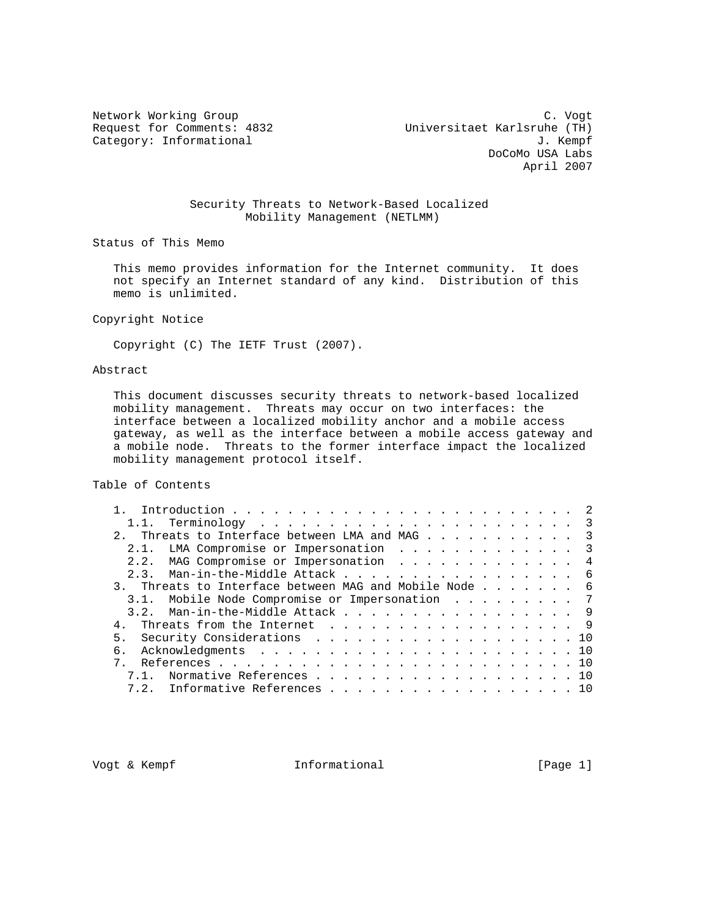Network Working Group C. Vogt Request for Comments: 4832 Universitaet Karlsruhe (TH) Category: Informational  $J.$  Kempf DoCoMo USA Labs April 2007

### Security Threats to Network-Based Localized Mobility Management (NETLMM)

Status of This Memo

 This memo provides information for the Internet community. It does not specify an Internet standard of any kind. Distribution of this memo is unlimited.

Copyright Notice

Copyright (C) The IETF Trust (2007).

# Abstract

 This document discusses security threats to network-based localized mobility management. Threats may occur on two interfaces: the interface between a localized mobility anchor and a mobile access gateway, as well as the interface between a mobile access gateway and a mobile node. Threats to the former interface impact the localized mobility management protocol itself.

Table of Contents

| 2. Threats to Interface between LMA and MAG 3         |  |
|-------------------------------------------------------|--|
| 2.1. LMA Compromise or Impersonation 3                |  |
| 2.2. MAG Compromise or Impersonation 4                |  |
| 2.3. Man-in-the-Middle Attack 6                       |  |
| 3. Threats to Interface between MAG and Mobile Node 6 |  |
| 3.1. Mobile Node Compromise or Impersonation 7        |  |
| 3.2. Man-in-the-Middle Attack 9                       |  |
| Threats from the Internet 9                           |  |
| 5. Security Considerations 10                         |  |
|                                                       |  |
|                                                       |  |
| 7.1. Normative References 10                          |  |
| 7.2. Informative References 10                        |  |
|                                                       |  |

Vogt & Kempf **Informational** [Page 1]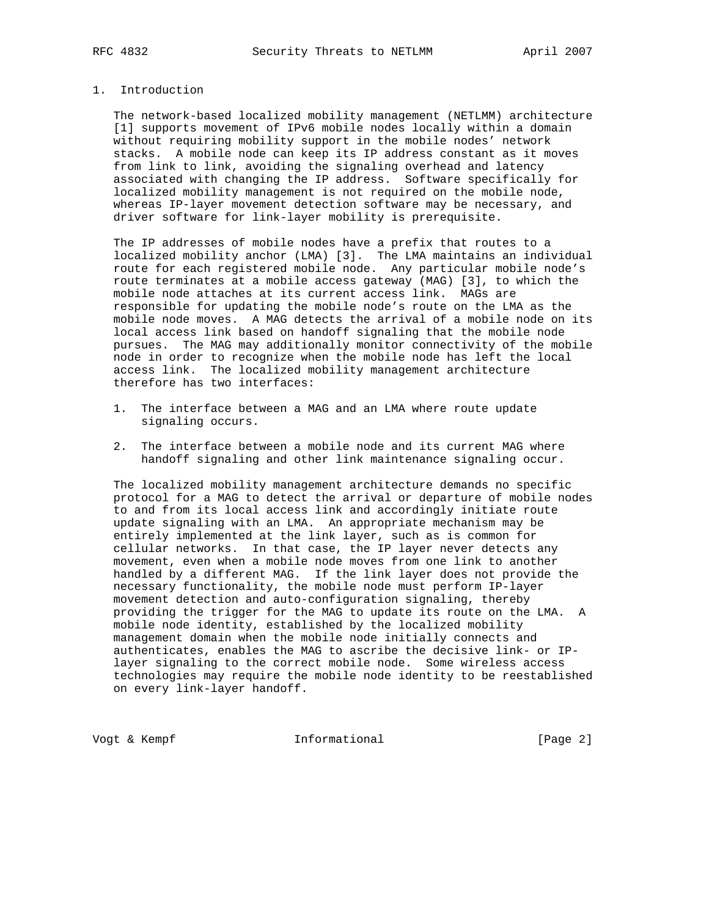# 1. Introduction

 The network-based localized mobility management (NETLMM) architecture [1] supports movement of IPv6 mobile nodes locally within a domain without requiring mobility support in the mobile nodes' network stacks. A mobile node can keep its IP address constant as it moves from link to link, avoiding the signaling overhead and latency associated with changing the IP address. Software specifically for localized mobility management is not required on the mobile node, whereas IP-layer movement detection software may be necessary, and driver software for link-layer mobility is prerequisite.

 The IP addresses of mobile nodes have a prefix that routes to a localized mobility anchor (LMA) [3]. The LMA maintains an individual route for each registered mobile node. Any particular mobile node's route terminates at a mobile access gateway (MAG) [3], to which the mobile node attaches at its current access link. MAGs are responsible for updating the mobile node's route on the LMA as the mobile node moves. A MAG detects the arrival of a mobile node on its local access link based on handoff signaling that the mobile node pursues. The MAG may additionally monitor connectivity of the mobile node in order to recognize when the mobile node has left the local access link. The localized mobility management architecture therefore has two interfaces:

- 1. The interface between a MAG and an LMA where route update signaling occurs.
- 2. The interface between a mobile node and its current MAG where handoff signaling and other link maintenance signaling occur.

 The localized mobility management architecture demands no specific protocol for a MAG to detect the arrival or departure of mobile nodes to and from its local access link and accordingly initiate route update signaling with an LMA. An appropriate mechanism may be entirely implemented at the link layer, such as is common for cellular networks. In that case, the IP layer never detects any movement, even when a mobile node moves from one link to another handled by a different MAG. If the link layer does not provide the necessary functionality, the mobile node must perform IP-layer movement detection and auto-configuration signaling, thereby providing the trigger for the MAG to update its route on the LMA. A mobile node identity, established by the localized mobility management domain when the mobile node initially connects and authenticates, enables the MAG to ascribe the decisive link- or IP layer signaling to the correct mobile node. Some wireless access technologies may require the mobile node identity to be reestablished on every link-layer handoff.

Vogt & Kempf **Informational Informational** [Page 2]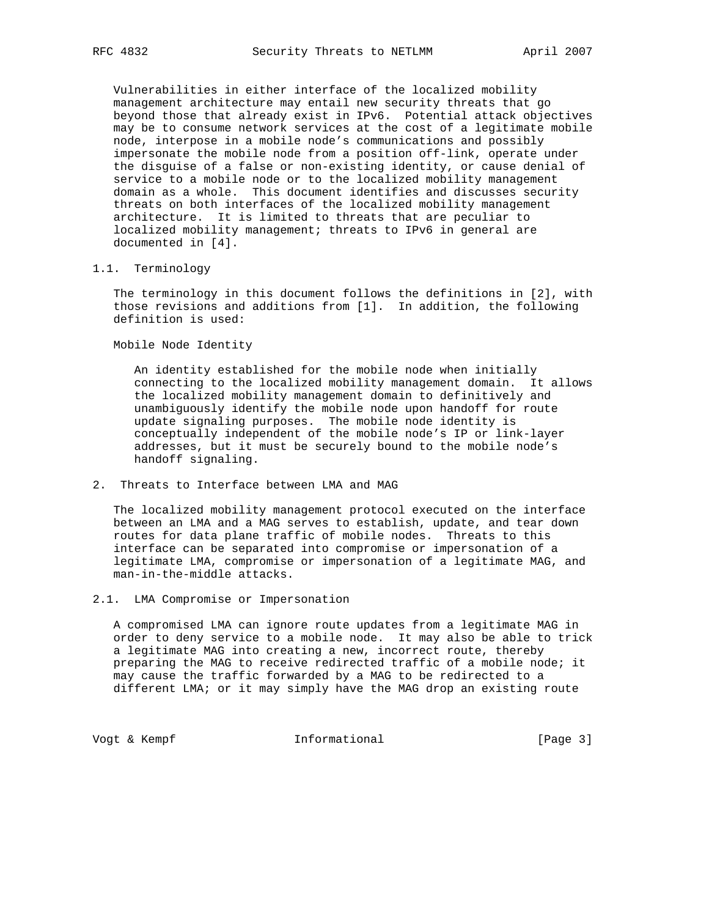Vulnerabilities in either interface of the localized mobility management architecture may entail new security threats that go beyond those that already exist in IPv6. Potential attack objectives may be to consume network services at the cost of a legitimate mobile node, interpose in a mobile node's communications and possibly impersonate the mobile node from a position off-link, operate under the disguise of a false or non-existing identity, or cause denial of service to a mobile node or to the localized mobility management domain as a whole. This document identifies and discusses security threats on both interfaces of the localized mobility management architecture. It is limited to threats that are peculiar to localized mobility management; threats to IPv6 in general are documented in [4].

# 1.1. Terminology

 The terminology in this document follows the definitions in [2], with those revisions and additions from [1]. In addition, the following definition is used:

Mobile Node Identity

 An identity established for the mobile node when initially connecting to the localized mobility management domain. It allows the localized mobility management domain to definitively and unambiguously identify the mobile node upon handoff for route update signaling purposes. The mobile node identity is conceptually independent of the mobile node's IP or link-layer addresses, but it must be securely bound to the mobile node's handoff signaling.

2. Threats to Interface between LMA and MAG

 The localized mobility management protocol executed on the interface between an LMA and a MAG serves to establish, update, and tear down routes for data plane traffic of mobile nodes. Threats to this interface can be separated into compromise or impersonation of a legitimate LMA, compromise or impersonation of a legitimate MAG, and man-in-the-middle attacks.

2.1. LMA Compromise or Impersonation

 A compromised LMA can ignore route updates from a legitimate MAG in order to deny service to a mobile node. It may also be able to trick a legitimate MAG into creating a new, incorrect route, thereby preparing the MAG to receive redirected traffic of a mobile node; it may cause the traffic forwarded by a MAG to be redirected to a different LMA; or it may simply have the MAG drop an existing route

Vogt & Kempf **Informational Informational** [Page 3]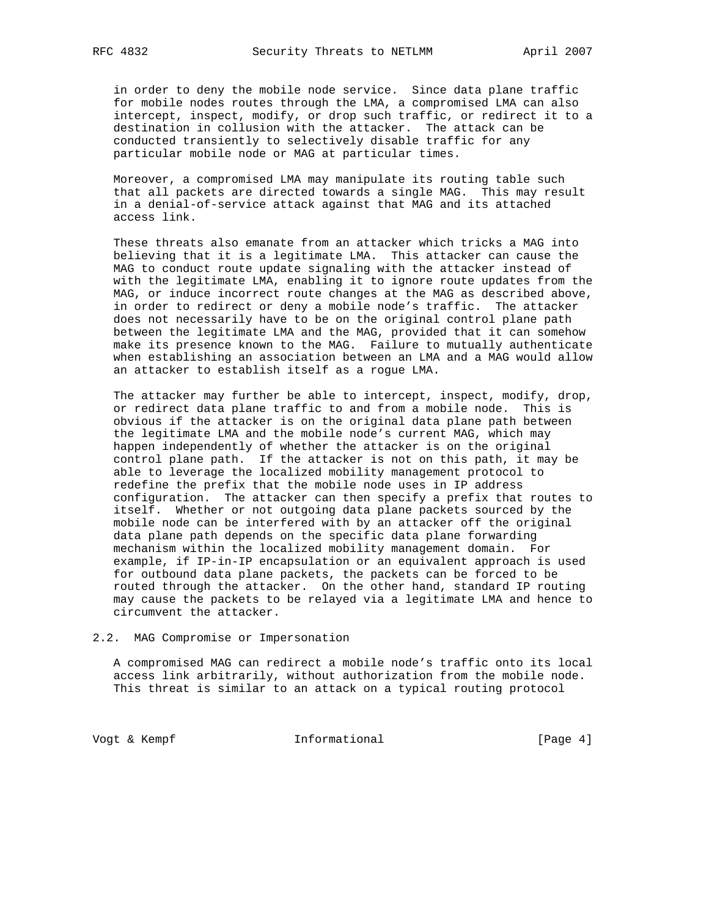in order to deny the mobile node service. Since data plane traffic for mobile nodes routes through the LMA, a compromised LMA can also intercept, inspect, modify, or drop such traffic, or redirect it to a destination in collusion with the attacker. The attack can be conducted transiently to selectively disable traffic for any particular mobile node or MAG at particular times.

 Moreover, a compromised LMA may manipulate its routing table such that all packets are directed towards a single MAG. This may result in a denial-of-service attack against that MAG and its attached access link.

 These threats also emanate from an attacker which tricks a MAG into believing that it is a legitimate LMA. This attacker can cause the MAG to conduct route update signaling with the attacker instead of with the legitimate LMA, enabling it to ignore route updates from the MAG, or induce incorrect route changes at the MAG as described above, in order to redirect or deny a mobile node's traffic. The attacker does not necessarily have to be on the original control plane path between the legitimate LMA and the MAG, provided that it can somehow make its presence known to the MAG. Failure to mutually authenticate when establishing an association between an LMA and a MAG would allow an attacker to establish itself as a rogue LMA.

The attacker may further be able to intercept, inspect, modify, drop, or redirect data plane traffic to and from a mobile node. This is obvious if the attacker is on the original data plane path between the legitimate LMA and the mobile node's current MAG, which may happen independently of whether the attacker is on the original control plane path. If the attacker is not on this path, it may be able to leverage the localized mobility management protocol to redefine the prefix that the mobile node uses in IP address configuration. The attacker can then specify a prefix that routes to itself. Whether or not outgoing data plane packets sourced by the mobile node can be interfered with by an attacker off the original data plane path depends on the specific data plane forwarding mechanism within the localized mobility management domain. For example, if IP-in-IP encapsulation or an equivalent approach is used for outbound data plane packets, the packets can be forced to be routed through the attacker. On the other hand, standard IP routing may cause the packets to be relayed via a legitimate LMA and hence to circumvent the attacker.

#### 2.2. MAG Compromise or Impersonation

 A compromised MAG can redirect a mobile node's traffic onto its local access link arbitrarily, without authorization from the mobile node. This threat is similar to an attack on a typical routing protocol

Vogt & Kempf **Informational Informational** [Page 4]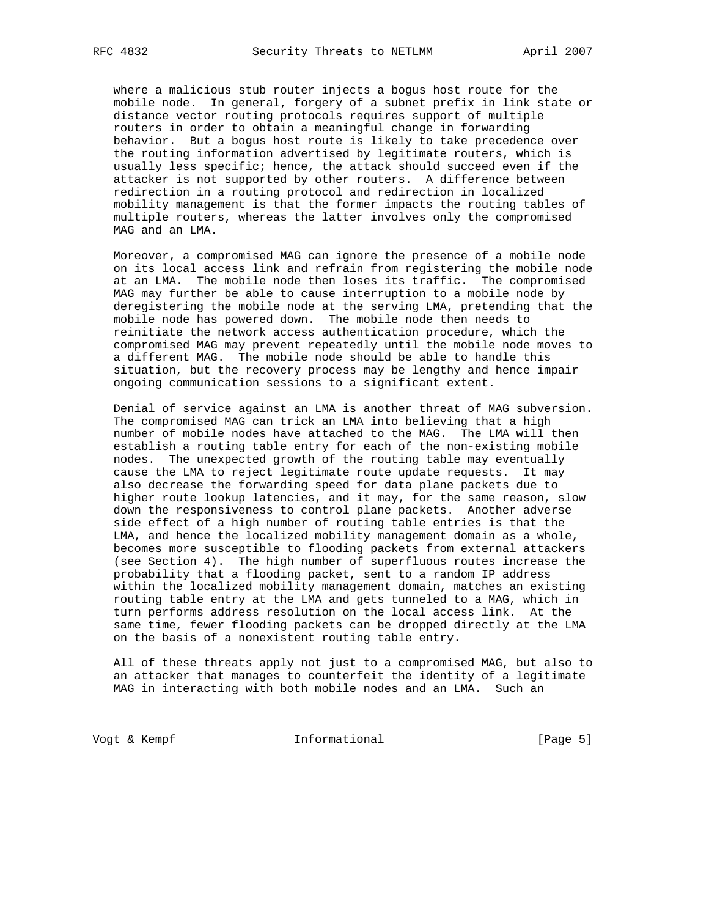where a malicious stub router injects a bogus host route for the mobile node. In general, forgery of a subnet prefix in link state or distance vector routing protocols requires support of multiple routers in order to obtain a meaningful change in forwarding behavior. But a bogus host route is likely to take precedence over the routing information advertised by legitimate routers, which is usually less specific; hence, the attack should succeed even if the attacker is not supported by other routers. A difference between redirection in a routing protocol and redirection in localized mobility management is that the former impacts the routing tables of multiple routers, whereas the latter involves only the compromised MAG and an LMA.

 Moreover, a compromised MAG can ignore the presence of a mobile node on its local access link and refrain from registering the mobile node at an LMA. The mobile node then loses its traffic. The compromised MAG may further be able to cause interruption to a mobile node by deregistering the mobile node at the serving LMA, pretending that the mobile node has powered down. The mobile node then needs to reinitiate the network access authentication procedure, which the compromised MAG may prevent repeatedly until the mobile node moves to a different MAG. The mobile node should be able to handle this situation, but the recovery process may be lengthy and hence impair ongoing communication sessions to a significant extent.

 Denial of service against an LMA is another threat of MAG subversion. The compromised MAG can trick an LMA into believing that a high number of mobile nodes have attached to the MAG. The LMA will then establish a routing table entry for each of the non-existing mobile nodes. The unexpected growth of the routing table may eventually cause the LMA to reject legitimate route update requests. It may also decrease the forwarding speed for data plane packets due to higher route lookup latencies, and it may, for the same reason, slow down the responsiveness to control plane packets. Another adverse side effect of a high number of routing table entries is that the LMA, and hence the localized mobility management domain as a whole, becomes more susceptible to flooding packets from external attackers (see Section 4). The high number of superfluous routes increase the probability that a flooding packet, sent to a random IP address within the localized mobility management domain, matches an existing routing table entry at the LMA and gets tunneled to a MAG, which in turn performs address resolution on the local access link. At the same time, fewer flooding packets can be dropped directly at the LMA on the basis of a nonexistent routing table entry.

 All of these threats apply not just to a compromised MAG, but also to an attacker that manages to counterfeit the identity of a legitimate MAG in interacting with both mobile nodes and an LMA. Such an

Vogt & Kempf **Informational Informational** [Page 5]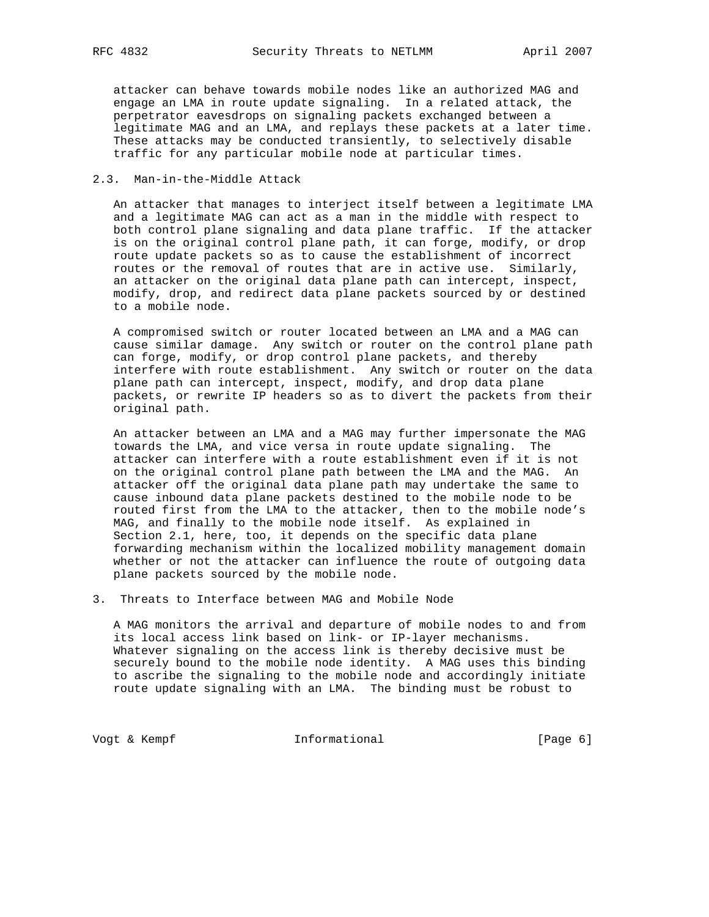attacker can behave towards mobile nodes like an authorized MAG and engage an LMA in route update signaling. In a related attack, the perpetrator eavesdrops on signaling packets exchanged between a legitimate MAG and an LMA, and replays these packets at a later time. These attacks may be conducted transiently, to selectively disable traffic for any particular mobile node at particular times.

#### 2.3. Man-in-the-Middle Attack

 An attacker that manages to interject itself between a legitimate LMA and a legitimate MAG can act as a man in the middle with respect to both control plane signaling and data plane traffic. If the attacker is on the original control plane path, it can forge, modify, or drop route update packets so as to cause the establishment of incorrect routes or the removal of routes that are in active use. Similarly, an attacker on the original data plane path can intercept, inspect, modify, drop, and redirect data plane packets sourced by or destined to a mobile node.

 A compromised switch or router located between an LMA and a MAG can cause similar damage. Any switch or router on the control plane path can forge, modify, or drop control plane packets, and thereby interfere with route establishment. Any switch or router on the data plane path can intercept, inspect, modify, and drop data plane packets, or rewrite IP headers so as to divert the packets from their original path.

 An attacker between an LMA and a MAG may further impersonate the MAG towards the LMA, and vice versa in route update signaling. The attacker can interfere with a route establishment even if it is not on the original control plane path between the LMA and the MAG. An attacker off the original data plane path may undertake the same to cause inbound data plane packets destined to the mobile node to be routed first from the LMA to the attacker, then to the mobile node's MAG, and finally to the mobile node itself. As explained in Section 2.1, here, too, it depends on the specific data plane forwarding mechanism within the localized mobility management domain whether or not the attacker can influence the route of outgoing data plane packets sourced by the mobile node.

3. Threats to Interface between MAG and Mobile Node

 A MAG monitors the arrival and departure of mobile nodes to and from its local access link based on link- or IP-layer mechanisms. Whatever signaling on the access link is thereby decisive must be securely bound to the mobile node identity. A MAG uses this binding to ascribe the signaling to the mobile node and accordingly initiate route update signaling with an LMA. The binding must be robust to

Vogt & Kempf **Informational Informational** [Page 6]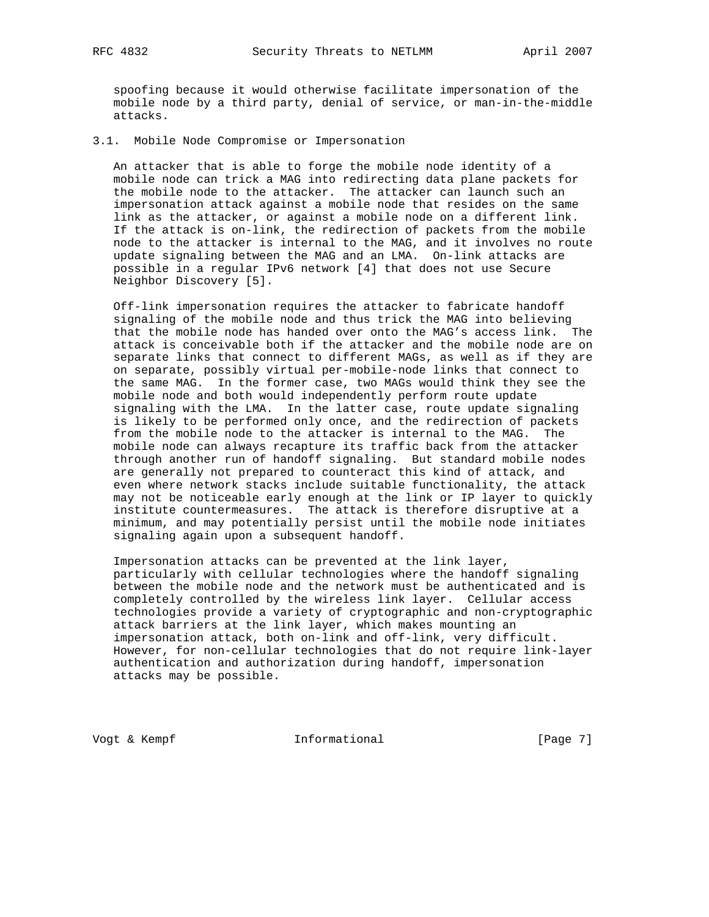spoofing because it would otherwise facilitate impersonation of the mobile node by a third party, denial of service, or man-in-the-middle attacks.

#### 3.1. Mobile Node Compromise or Impersonation

 An attacker that is able to forge the mobile node identity of a mobile node can trick a MAG into redirecting data plane packets for the mobile node to the attacker. The attacker can launch such an impersonation attack against a mobile node that resides on the same link as the attacker, or against a mobile node on a different link. If the attack is on-link, the redirection of packets from the mobile node to the attacker is internal to the MAG, and it involves no route update signaling between the MAG and an LMA. On-link attacks are possible in a regular IPv6 network [4] that does not use Secure Neighbor Discovery [5].

 Off-link impersonation requires the attacker to fabricate handoff signaling of the mobile node and thus trick the MAG into believing that the mobile node has handed over onto the MAG's access link. The attack is conceivable both if the attacker and the mobile node are on separate links that connect to different MAGs, as well as if they are on separate, possibly virtual per-mobile-node links that connect to the same MAG. In the former case, two MAGs would think they see the mobile node and both would independently perform route update signaling with the LMA. In the latter case, route update signaling is likely to be performed only once, and the redirection of packets from the mobile node to the attacker is internal to the MAG. The mobile node can always recapture its traffic back from the attacker through another run of handoff signaling. But standard mobile nodes are generally not prepared to counteract this kind of attack, and even where network stacks include suitable functionality, the attack may not be noticeable early enough at the link or IP layer to quickly institute countermeasures. The attack is therefore disruptive at a minimum, and may potentially persist until the mobile node initiates signaling again upon a subsequent handoff.

 Impersonation attacks can be prevented at the link layer, particularly with cellular technologies where the handoff signaling between the mobile node and the network must be authenticated and is completely controlled by the wireless link layer. Cellular access technologies provide a variety of cryptographic and non-cryptographic attack barriers at the link layer, which makes mounting an impersonation attack, both on-link and off-link, very difficult. However, for non-cellular technologies that do not require link-layer authentication and authorization during handoff, impersonation attacks may be possible.

Vogt & Kempf **Informational Informational** [Page 7]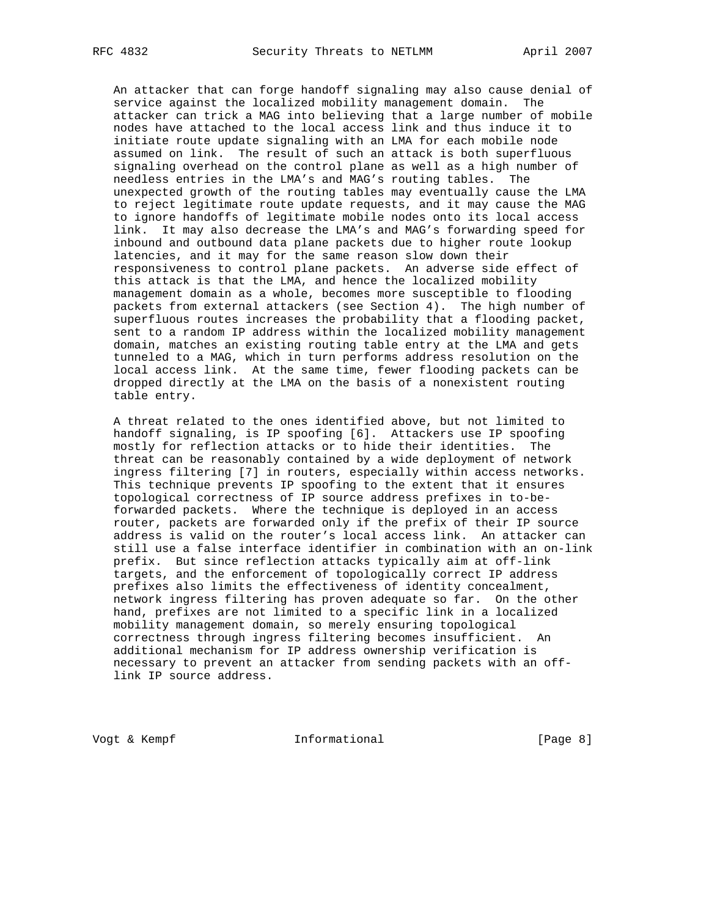An attacker that can forge handoff signaling may also cause denial of service against the localized mobility management domain. The attacker can trick a MAG into believing that a large number of mobile nodes have attached to the local access link and thus induce it to initiate route update signaling with an LMA for each mobile node assumed on link. The result of such an attack is both superfluous signaling overhead on the control plane as well as a high number of needless entries in the LMA's and MAG's routing tables. The unexpected growth of the routing tables may eventually cause the LMA to reject legitimate route update requests, and it may cause the MAG to ignore handoffs of legitimate mobile nodes onto its local access link. It may also decrease the LMA's and MAG's forwarding speed for inbound and outbound data plane packets due to higher route lookup latencies, and it may for the same reason slow down their responsiveness to control plane packets. An adverse side effect of this attack is that the LMA, and hence the localized mobility management domain as a whole, becomes more susceptible to flooding packets from external attackers (see Section 4). The high number of superfluous routes increases the probability that a flooding packet, sent to a random IP address within the localized mobility management domain, matches an existing routing table entry at the LMA and gets tunneled to a MAG, which in turn performs address resolution on the local access link. At the same time, fewer flooding packets can be dropped directly at the LMA on the basis of a nonexistent routing table entry.

 A threat related to the ones identified above, but not limited to handoff signaling, is IP spoofing [6]. Attackers use IP spoofing mostly for reflection attacks or to hide their identities. The threat can be reasonably contained by a wide deployment of network ingress filtering [7] in routers, especially within access networks. This technique prevents IP spoofing to the extent that it ensures topological correctness of IP source address prefixes in to-be forwarded packets. Where the technique is deployed in an access router, packets are forwarded only if the prefix of their IP source address is valid on the router's local access link. An attacker can still use a false interface identifier in combination with an on-link prefix. But since reflection attacks typically aim at off-link targets, and the enforcement of topologically correct IP address prefixes also limits the effectiveness of identity concealment, network ingress filtering has proven adequate so far. On the other hand, prefixes are not limited to a specific link in a localized mobility management domain, so merely ensuring topological correctness through ingress filtering becomes insufficient. An additional mechanism for IP address ownership verification is necessary to prevent an attacker from sending packets with an off link IP source address.

Vogt & Kempf **Informational Informational** [Page 8]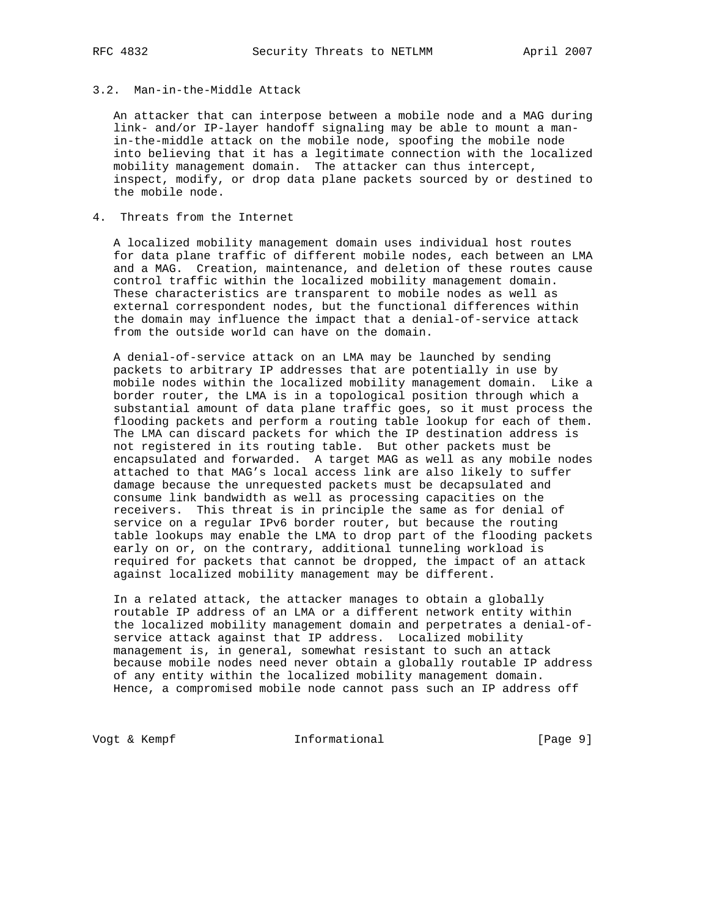# 3.2. Man-in-the-Middle Attack

 An attacker that can interpose between a mobile node and a MAG during link- and/or IP-layer handoff signaling may be able to mount a man in-the-middle attack on the mobile node, spoofing the mobile node into believing that it has a legitimate connection with the localized mobility management domain. The attacker can thus intercept, inspect, modify, or drop data plane packets sourced by or destined to the mobile node.

### 4. Threats from the Internet

 A localized mobility management domain uses individual host routes for data plane traffic of different mobile nodes, each between an LMA and a MAG. Creation, maintenance, and deletion of these routes cause control traffic within the localized mobility management domain. These characteristics are transparent to mobile nodes as well as external correspondent nodes, but the functional differences within the domain may influence the impact that a denial-of-service attack from the outside world can have on the domain.

 A denial-of-service attack on an LMA may be launched by sending packets to arbitrary IP addresses that are potentially in use by mobile nodes within the localized mobility management domain. Like a border router, the LMA is in a topological position through which a substantial amount of data plane traffic goes, so it must process the flooding packets and perform a routing table lookup for each of them. The LMA can discard packets for which the IP destination address is not registered in its routing table. But other packets must be encapsulated and forwarded. A target MAG as well as any mobile nodes attached to that MAG's local access link are also likely to suffer damage because the unrequested packets must be decapsulated and consume link bandwidth as well as processing capacities on the receivers. This threat is in principle the same as for denial of service on a regular IPv6 border router, but because the routing table lookups may enable the LMA to drop part of the flooding packets early on or, on the contrary, additional tunneling workload is required for packets that cannot be dropped, the impact of an attack against localized mobility management may be different.

 In a related attack, the attacker manages to obtain a globally routable IP address of an LMA or a different network entity within the localized mobility management domain and perpetrates a denial-of service attack against that IP address. Localized mobility management is, in general, somewhat resistant to such an attack because mobile nodes need never obtain a globally routable IP address of any entity within the localized mobility management domain. Hence, a compromised mobile node cannot pass such an IP address off

Vogt & Kempf **Informational Informational** [Page 9]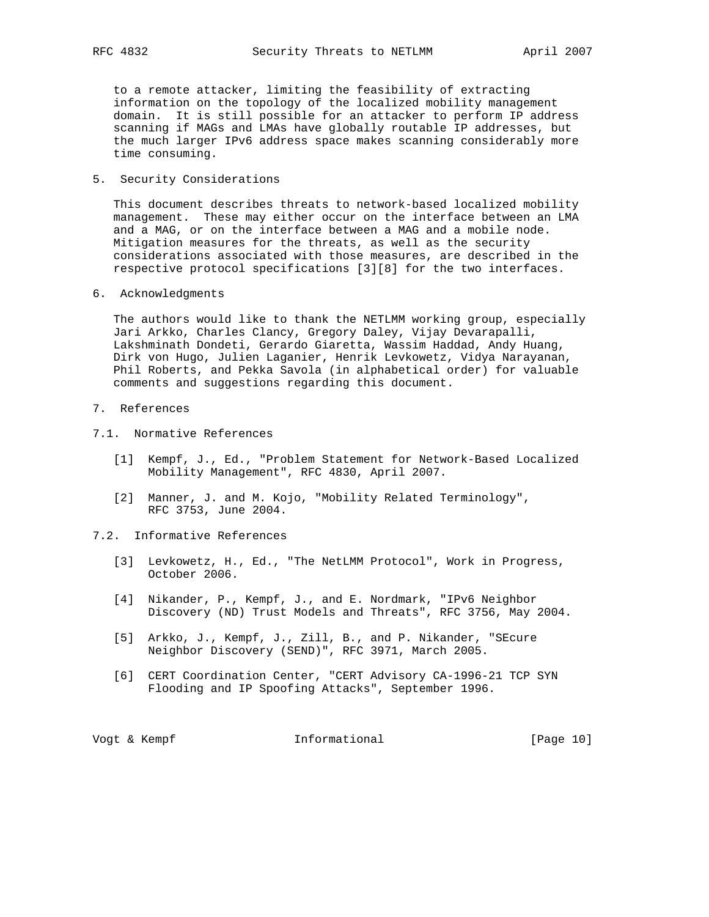to a remote attacker, limiting the feasibility of extracting information on the topology of the localized mobility management domain. It is still possible for an attacker to perform IP address scanning if MAGs and LMAs have globally routable IP addresses, but the much larger IPv6 address space makes scanning considerably more time consuming.

5. Security Considerations

 This document describes threats to network-based localized mobility management. These may either occur on the interface between an LMA and a MAG, or on the interface between a MAG and a mobile node. Mitigation measures for the threats, as well as the security considerations associated with those measures, are described in the respective protocol specifications [3][8] for the two interfaces.

6. Acknowledgments

 The authors would like to thank the NETLMM working group, especially Jari Arkko, Charles Clancy, Gregory Daley, Vijay Devarapalli, Lakshminath Dondeti, Gerardo Giaretta, Wassim Haddad, Andy Huang, Dirk von Hugo, Julien Laganier, Henrik Levkowetz, Vidya Narayanan, Phil Roberts, and Pekka Savola (in alphabetical order) for valuable comments and suggestions regarding this document.

- 7. References
- 7.1. Normative References
	- [1] Kempf, J., Ed., "Problem Statement for Network-Based Localized Mobility Management", RFC 4830, April 2007.
	- [2] Manner, J. and M. Kojo, "Mobility Related Terminology", RFC 3753, June 2004.
- 7.2. Informative References
	- [3] Levkowetz, H., Ed., "The NetLMM Protocol", Work in Progress, October 2006.
	- [4] Nikander, P., Kempf, J., and E. Nordmark, "IPv6 Neighbor Discovery (ND) Trust Models and Threats", RFC 3756, May 2004.
	- [5] Arkko, J., Kempf, J., Zill, B., and P. Nikander, "SEcure Neighbor Discovery (SEND)", RFC 3971, March 2005.
	- [6] CERT Coordination Center, "CERT Advisory CA-1996-21 TCP SYN Flooding and IP Spoofing Attacks", September 1996.

Vogt & Kempf **Informational** [Page 10]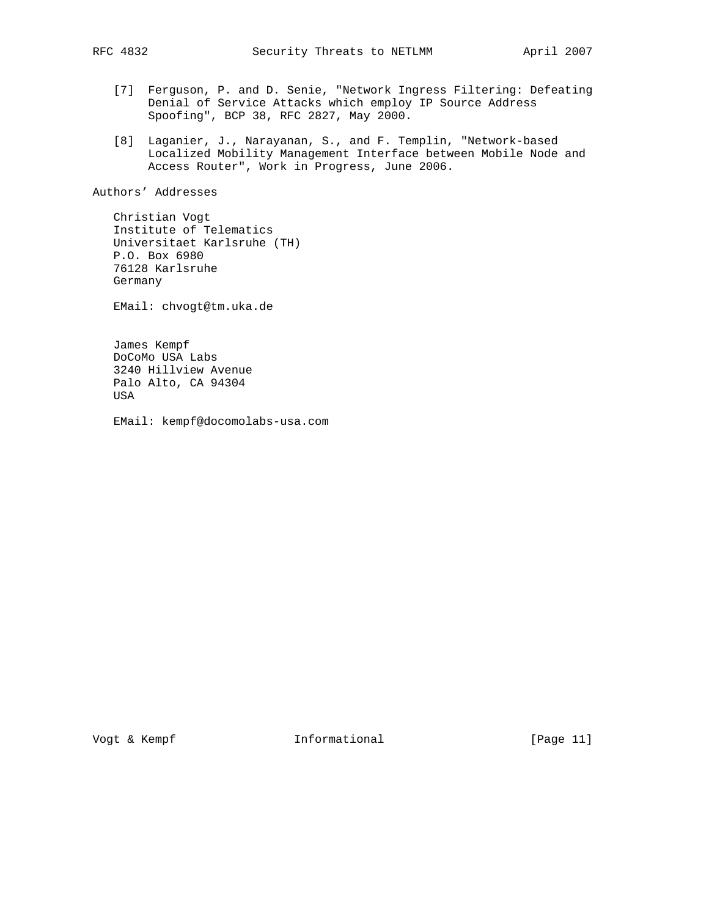- [7] Ferguson, P. and D. Senie, "Network Ingress Filtering: Defeating Denial of Service Attacks which employ IP Source Address Spoofing", BCP 38, RFC 2827, May 2000.
- [8] Laganier, J., Narayanan, S., and F. Templin, "Network-based Localized Mobility Management Interface between Mobile Node and Access Router", Work in Progress, June 2006.

Authors' Addresses

 Christian Vogt Institute of Telematics Universitaet Karlsruhe (TH) P.O. Box 6980 76128 Karlsruhe Germany

EMail: chvogt@tm.uka.de

 James Kempf DoCoMo USA Labs 3240 Hillview Avenue Palo Alto, CA 94304 USA

EMail: kempf@docomolabs-usa.com

Vogt & Kempf **Informational** [Page 11]